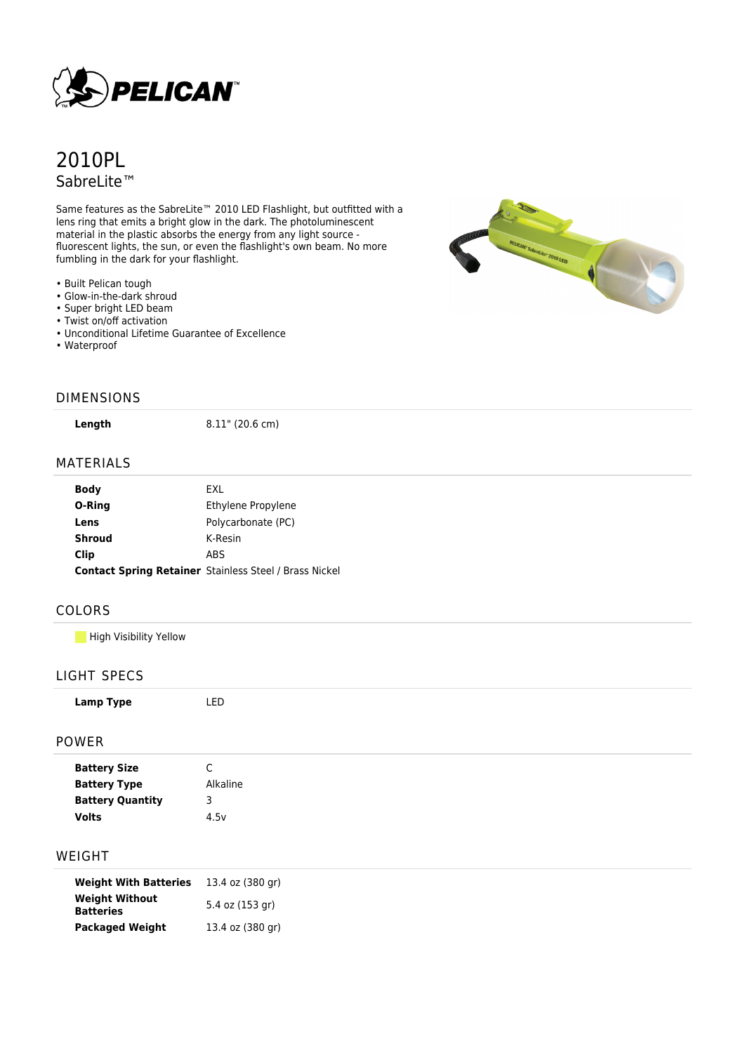

# 2010PL SabreLite™

Same features as the SabreLite™ 2010 LED Flashlight, but outfitted with a lens ring that emits a bright glow in the dark. The photoluminescent material in the plastic absorbs the energy from any light source fluorescent lights, the sun, or even the flashlight's own beam. No more fumbling in the dark for your flashlight.

- Built Pelican tough
- Glow-in-the-dark shroud
- Super bright LED beam
- Twist on/off activation
- Unconditional Lifetime Guarantee of Excellence
- Waterproof



#### DIMENSIONS

**Length** 8.11" (20.6 cm)

#### MATERIALS

| Body          | FXI.                                                          |
|---------------|---------------------------------------------------------------|
| O-Ring        | Ethylene Propylene                                            |
| Lens          | Polycarbonate (PC)                                            |
| <b>Shroud</b> | K-Resin                                                       |
| Clip          | <b>ABS</b>                                                    |
|               | <b>Contact Spring Retainer Stainless Steel / Brass Nickel</b> |

LED

## COLORS

**High Visibility Yellow** 

## LIGHT SPECS

| Lamp Type |  |  |
|-----------|--|--|
|-----------|--|--|

#### POWER

| <b>Battery Size</b>     | C        |
|-------------------------|----------|
| <b>Battery Type</b>     | Alkaline |
| <b>Battery Quantity</b> | З        |
| Volts                   | 4.5v     |

## WEIGHT

| <b>Weight With Batteries</b>              | 13.4 oz (380 gr) |
|-------------------------------------------|------------------|
| <b>Weight Without</b><br><b>Batteries</b> | 5.4 oz (153 gr)  |
| <b>Packaged Weight</b>                    | 13.4 oz (380 gr) |